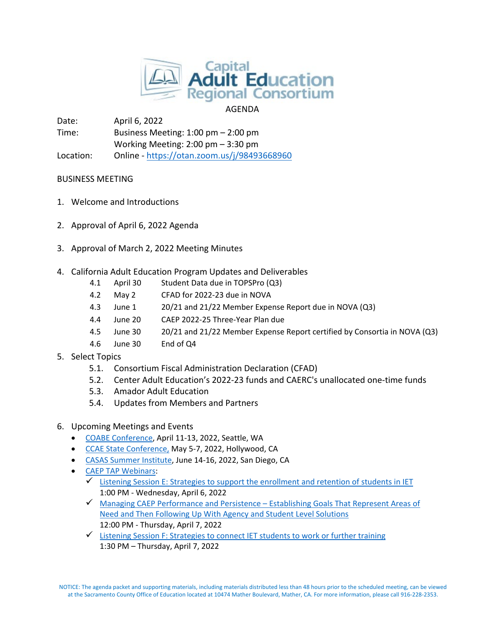

# AGENDA

Date: April 6, 2022 Time: Business Meeting: 1:00 pm – 2:00 pm Working Meeting: 2:00 pm – 3:30 pm Location: Online - <https://otan.zoom.us/j/98493668960>

# BUSINESS MEETING

- 1. Welcome and Introductions
- 2. Approval of April 6, 2022 Agenda
- 3. Approval of March 2, 2022 Meeting Minutes
- 4. California Adult Education Program Updates and Deliverables
	- 4.1 April 30 Student Data due in TOPSPro (Q3)
	- 4.2 May 2 CFAD for 2022-23 due in NOVA
	- 4.3 June 1 20/21 and 21/22 Member Expense Report due in NOVA (Q3)
	- 4.4 June 20 CAEP 2022-25 Three-Year Plan due
	- 4.5 June 30 20/21 and 21/22 Member Expense Report certified by Consortia in NOVA (Q3)
	- 4.6 June 30 End of Q4
- 5. Select Topics
	- 5.1. Consortium Fiscal Administration Declaration (CFAD)
	- 5.2. Center Adult Education's 2022-23 funds and CAERC's unallocated one-time funds
	- 5.3. Amador Adult Education
	- 5.4. Updates from Members and Partners
- 6. Upcoming Meetings and Events
	- COABE [Conference,](https://coabe.org/2022-coabe-national-conference/) April 11-13, 2022, Seattle, WA
	- [CCAE State Conference,](https://www.ccaestate.org/conference-2022.html) May 5-7, 2022, Hollywood, CA
	- [CASAS Summer Institute,](https://www.casas.org/training-and-support/SI/prepare-for-2022) June 14-16, 2022, San Diego, CA
	- [CAEP TAP Webinars:](https://caladulted.org/Events)
		- $\checkmark$  [Listening Session E: Strategies to support the enrollment and retention of students in IET](https://register.caladulted.org/Home/EventDetail/547) 1:00 PM - Wednesday, April 6, 2022
		- $\checkmark$  [Managing CAEP Performance and Persistence –](https://register.caladulted.org/Home/EventDetail/533) Establishing Goals That Represent Areas of [Need and Then Following Up With Agency and Student Level Solutions](https://register.caladulted.org/Home/EventDetail/533) 12:00 PM - Thursday, April 7, 2022
		- $\checkmark$  [Listening Session F: Strategies to connect IET students to work or further training](https://register.caladulted.org/Home/EventDetail/548) 1:30 PM – Thursday, April 7, 2022